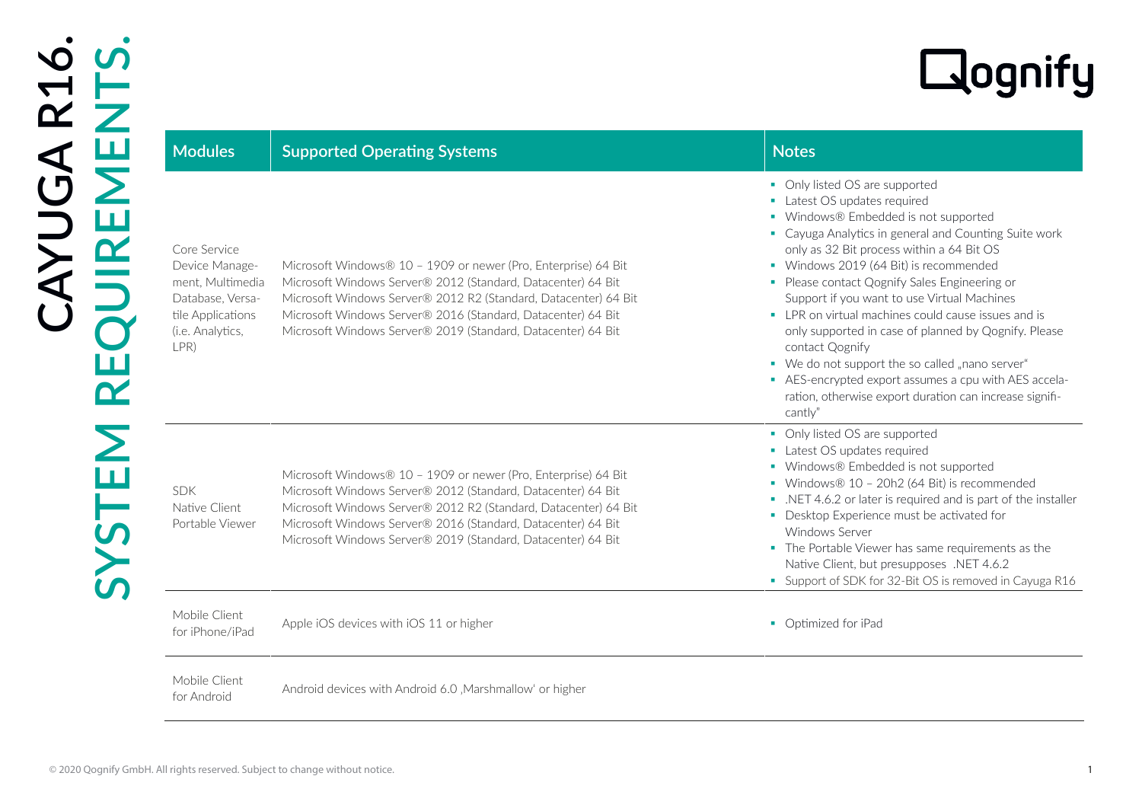| <b>Modules</b>                                                                                                          | <b>Supported Operating Systems</b>                                                                                                                                                                                                                                                                                                | <b>Notes</b>                                                                                                                                                                                                                                                                                                                                                                                                                                                                                                                                                                                                                                                               |
|-------------------------------------------------------------------------------------------------------------------------|-----------------------------------------------------------------------------------------------------------------------------------------------------------------------------------------------------------------------------------------------------------------------------------------------------------------------------------|----------------------------------------------------------------------------------------------------------------------------------------------------------------------------------------------------------------------------------------------------------------------------------------------------------------------------------------------------------------------------------------------------------------------------------------------------------------------------------------------------------------------------------------------------------------------------------------------------------------------------------------------------------------------------|
| Core Service<br>Device Manage-<br>ment, Multimedia<br>Database, Versa-<br>tile Applications<br>(i.e. Analytics,<br>LPR) | Microsoft Windows® 10 - 1909 or newer (Pro, Enterprise) 64 Bit<br>Microsoft Windows Server® 2012 (Standard, Datacenter) 64 Bit<br>Microsoft Windows Server® 2012 R2 (Standard, Datacenter) 64 Bit<br>Microsoft Windows Server® 2016 (Standard, Datacenter) 64 Bit<br>Microsoft Windows Server® 2019 (Standard, Datacenter) 64 Bit | • Only listed OS are supported<br>• Latest OS updates required<br>• Windows® Embedded is not supported<br>• Cayuga Analytics in general and Counting Suite work<br>only as 32 Bit process within a 64 Bit OS<br>• Windows 2019 (64 Bit) is recommended<br>• Please contact Qognify Sales Engineering or<br>Support if you want to use Virtual Machines<br>• LPR on virtual machines could cause issues and is<br>only supported in case of planned by Qognify. Please<br>contact Qognify<br>• We do not support the so called "nano server"<br>- AES-encrypted export assumes a cpu with AES accela-<br>ration, otherwise export duration can increase signifi-<br>cantly" |
| <b>SDK</b><br>Native Client<br>Portable Viewer                                                                          | Microsoft Windows® 10 - 1909 or newer (Pro, Enterprise) 64 Bit<br>Microsoft Windows Server® 2012 (Standard, Datacenter) 64 Bit<br>Microsoft Windows Server® 2012 R2 (Standard, Datacenter) 64 Bit<br>Microsoft Windows Server® 2016 (Standard, Datacenter) 64 Bit<br>Microsoft Windows Server® 2019 (Standard, Datacenter) 64 Bit | • Only listed OS are supported<br>• Latest OS updates required<br>• Windows® Embedded is not supported<br>• Windows® 10 - 20h2 (64 Bit) is recommended<br>. NET 4.6.2 or later is required and is part of the installer<br>• Desktop Experience must be activated for<br><b>Windows Server</b><br>• The Portable Viewer has same requirements as the<br>Native Client, but presupposes .NET 4.6.2<br>• Support of SDK for 32-Bit OS is removed in Cayuga R16                                                                                                                                                                                                               |
| Mobile Client<br>for iPhone/iPad                                                                                        | Apple iOS devices with iOS 11 or higher                                                                                                                                                                                                                                                                                           | • Optimized for iPad                                                                                                                                                                                                                                                                                                                                                                                                                                                                                                                                                                                                                                                       |
| Mobile Client<br>for Android                                                                                            | Android devices with Android 6.0, Marshmallow' or higher                                                                                                                                                                                                                                                                          |                                                                                                                                                                                                                                                                                                                                                                                                                                                                                                                                                                                                                                                                            |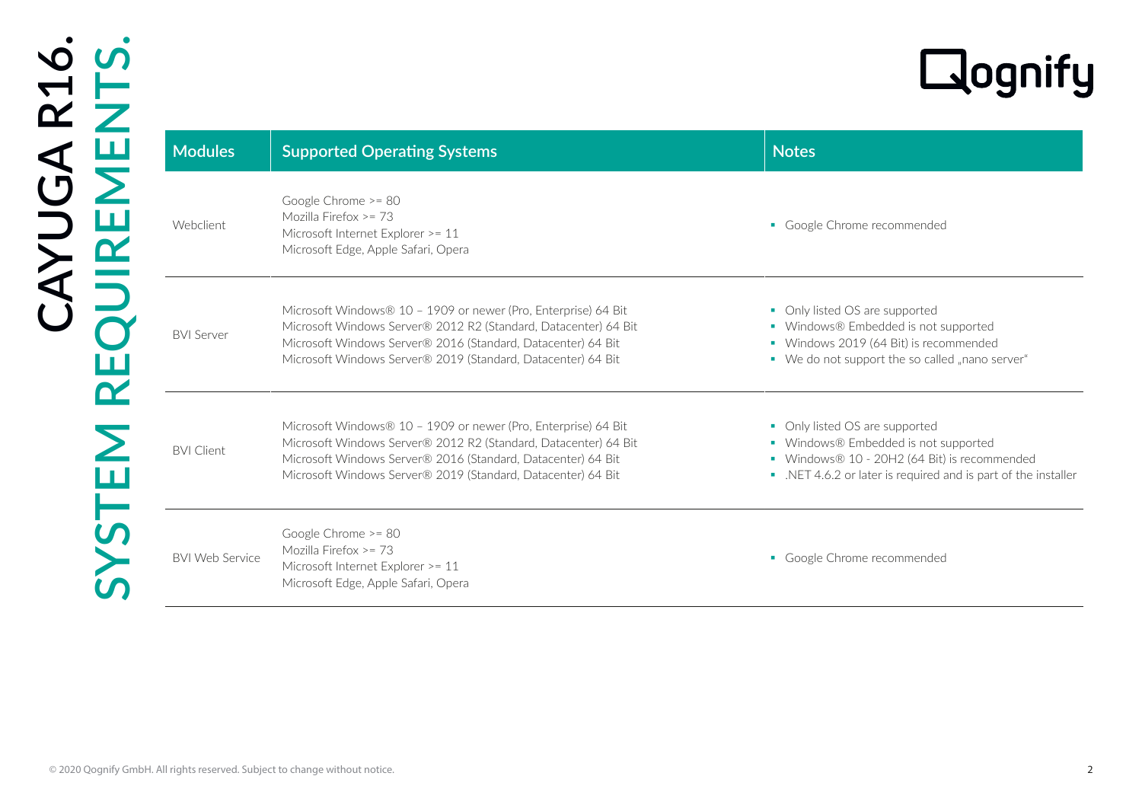| <b>Modules</b>         | <b>Supported Operating Systems</b>                                                                                                                                                                                                                                | <b>Notes</b>                                                                                                                                                                            |
|------------------------|-------------------------------------------------------------------------------------------------------------------------------------------------------------------------------------------------------------------------------------------------------------------|-----------------------------------------------------------------------------------------------------------------------------------------------------------------------------------------|
| Webclient              | Google Chrome >= 80<br>Mozilla Firefox >= 73<br>Microsoft Internet Explorer >= 11<br>Microsoft Edge, Apple Safari, Opera                                                                                                                                          | • Google Chrome recommended                                                                                                                                                             |
| <b>BVI Server</b>      | Microsoft Windows® 10 - 1909 or newer (Pro, Enterprise) 64 Bit<br>Microsoft Windows Server® 2012 R2 (Standard, Datacenter) 64 Bit<br>Microsoft Windows Server® 2016 (Standard, Datacenter) 64 Bit<br>Microsoft Windows Server® 2019 (Standard, Datacenter) 64 Bit | • Only listed OS are supported<br>• Windows® Embedded is not supported<br>• Windows 2019 (64 Bit) is recommended<br>• We do not support the so called "nano server"                     |
| <b>BVI Client</b>      | Microsoft Windows® 10 - 1909 or newer (Pro, Enterprise) 64 Bit<br>Microsoft Windows Server® 2012 R2 (Standard, Datacenter) 64 Bit<br>Microsoft Windows Server® 2016 (Standard, Datacenter) 64 Bit<br>Microsoft Windows Server® 2019 (Standard, Datacenter) 64 Bit | • Only listed OS are supported<br>• Windows® Embedded is not supported<br>• Windows® 10 - 20H2 (64 Bit) is recommended<br>. NET 4.6.2 or later is required and is part of the installer |
| <b>BVI Web Service</b> | Google Chrome >= 80<br>Mozilla Firefox >= 73<br>Microsoft Internet Explorer >= 11<br>Microsoft Edge, Apple Safari, Opera                                                                                                                                          | • Google Chrome recommended                                                                                                                                                             |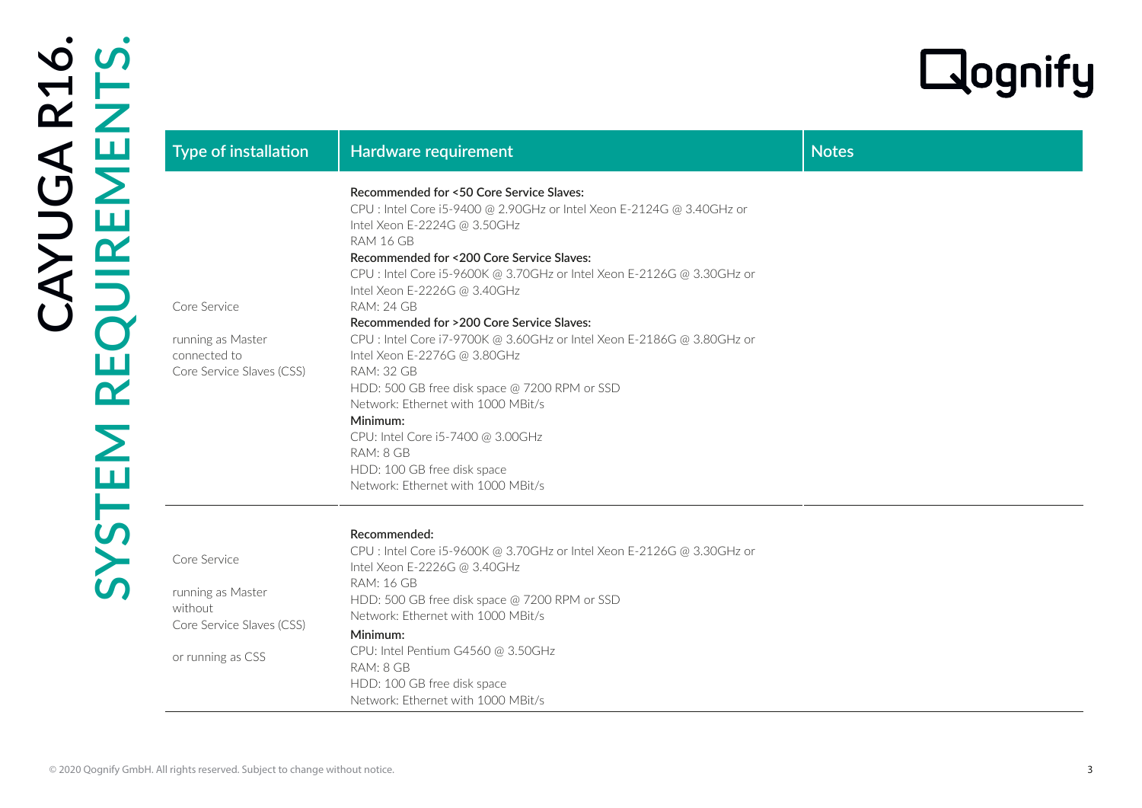|                                                                                                |                                                                                                                                                                                                                                                                                                                                                                                                                                                                                                                                                                                                                                                                                                                                                  |              | Lognify |
|------------------------------------------------------------------------------------------------|--------------------------------------------------------------------------------------------------------------------------------------------------------------------------------------------------------------------------------------------------------------------------------------------------------------------------------------------------------------------------------------------------------------------------------------------------------------------------------------------------------------------------------------------------------------------------------------------------------------------------------------------------------------------------------------------------------------------------------------------------|--------------|---------|
| <b>Type of installation</b>                                                                    | Hardware requirement                                                                                                                                                                                                                                                                                                                                                                                                                                                                                                                                                                                                                                                                                                                             | <b>Notes</b> |         |
| Core Service<br>running as Master<br>connected to<br>Core Service Slaves (CSS)                 | Recommended for <50 Core Service Slaves:<br>CPU : Intel Core i5-9400 @ 2.90GHz or Intel Xeon E-2124G @ 3.40GHz or<br>Intel Xeon E-2224G @ 3.50GHz<br>RAM 16 GB<br>Recommended for <200 Core Service Slaves:<br>CPU : Intel Core i5-9600K @ 3.70GHz or Intel Xeon E-2126G @ 3.30GHz or<br>Intel Xeon E-2226G @ 3.40GHz<br><b>RAM: 24 GB</b><br>Recommended for >200 Core Service Slaves:<br>CPU : Intel Core i7-9700K @ 3.60GHz or Intel Xeon E-2186G @ 3.80GHz or<br>Intel Xeon E-2276G @ 3.80GHz<br><b>RAM: 32 GB</b><br>HDD: 500 GB free disk space @ 7200 RPM or SSD<br>Network: Ethernet with 1000 MBit/s<br>Minimum:<br>CPU: Intel Core i5-7400 @ 3.00GHz<br>RAM: 8 GB<br>HDD: 100 GB free disk space<br>Network: Ethernet with 1000 MBit/s |              |         |
| Core Service<br>running as Master<br>without<br>Core Service Slaves (CSS)<br>or running as CSS | Recommended:<br>CPU : Intel Core i5-9600K @ 3.70GHz or Intel Xeon E-2126G @ 3.30GHz or<br>Intel Xeon E-2226G @ 3.40GHz<br><b>RAM: 16 GB</b><br>HDD: 500 GB free disk space @ 7200 RPM or SSD<br>Network: Ethernet with 1000 MBit/s<br>Minimum:<br>CPU: Intel Pentium G4560 @ 3.50GHz<br>RAM: 8 GB<br>HDD: 100 GB free disk space<br>Network: Ethernet with 1000 MBit/s                                                                                                                                                                                                                                                                                                                                                                           |              |         |

## **Recommended:**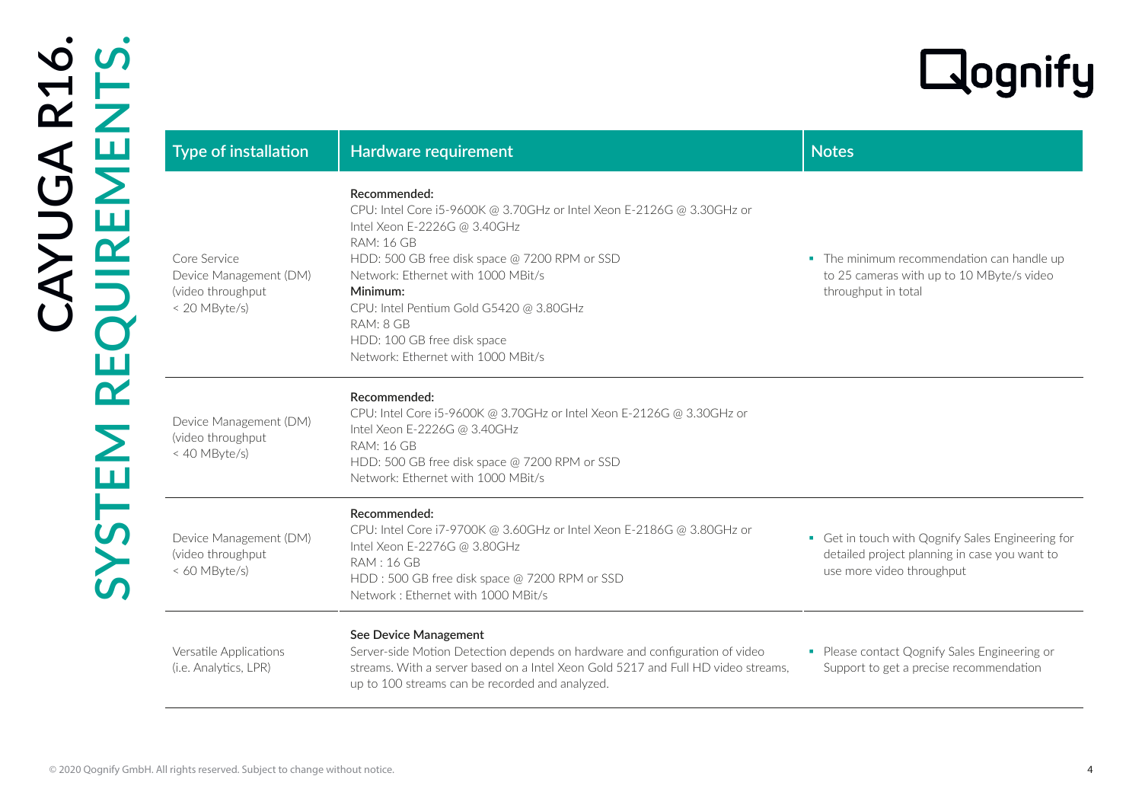| Type of installation                                                         | Hardware requirement                                                                                                                                                                                                                                                                                                                                                       | <b>Notes</b>                                                                                                                    |
|------------------------------------------------------------------------------|----------------------------------------------------------------------------------------------------------------------------------------------------------------------------------------------------------------------------------------------------------------------------------------------------------------------------------------------------------------------------|---------------------------------------------------------------------------------------------------------------------------------|
| Core Service<br>Device Management (DM)<br>(video throughput<br>< 20 MByte/s) | Recommended:<br>CPU: Intel Core i5-9600K @ 3.70GHz or Intel Xeon E-2126G @ 3.30GHz or<br>Intel Xeon E-2226G @ 3.40GHz<br><b>RAM: 16 GB</b><br>HDD: 500 GB free disk space @ 7200 RPM or SSD<br>Network: Ethernet with 1000 MBit/s<br>Minimum:<br>CPU: Intel Pentium Gold G5420 @ 3.80GHz<br>RAM: 8 GB<br>HDD: 100 GB free disk space<br>Network: Ethernet with 1000 MBit/s | • The minimum recommendation can handle up<br>to 25 cameras with up to 10 MByte/s video<br>throughput in total                  |
| Device Management (DM)<br>(video throughput<br>< 40 MByte/s)                 | Recommended:<br>CPU: Intel Core i5-9600K @ 3.70GHz or Intel Xeon E-2126G @ 3.30GHz or<br>Intel Xeon E-2226G @ 3.40GHz<br><b>RAM: 16 GB</b><br>HDD: 500 GB free disk space @ 7200 RPM or SSD<br>Network: Ethernet with 1000 MBit/s                                                                                                                                          |                                                                                                                                 |
| Device Management (DM)<br>(video throughput<br>< 60 MByte/s)                 | Recommended:<br>CPU: Intel Core i7-9700K @ 3.60GHz or Intel Xeon E-2186G @ 3.80GHz or<br>Intel Xeon E-2276G @ 3.80GHz<br><b>RAM: 16 GB</b><br>HDD: 500 GB free disk space @ 7200 RPM or SSD<br>Network: Ethernet with 1000 MBit/s                                                                                                                                          | • Get in touch with Qognify Sales Engineering for<br>detailed project planning in case you want to<br>use more video throughput |
| Versatile Applications<br>(i.e. Analytics, LPR)                              | See Device Management<br>Server-side Motion Detection depends on hardware and configuration of video<br>streams. With a server based on a Intel Xeon Gold 5217 and Full HD video streams,<br>up to 100 streams can be recorded and analyzed.                                                                                                                               | • Please contact Qognify Sales Engineering or<br>Support to get a precise recommendation                                        |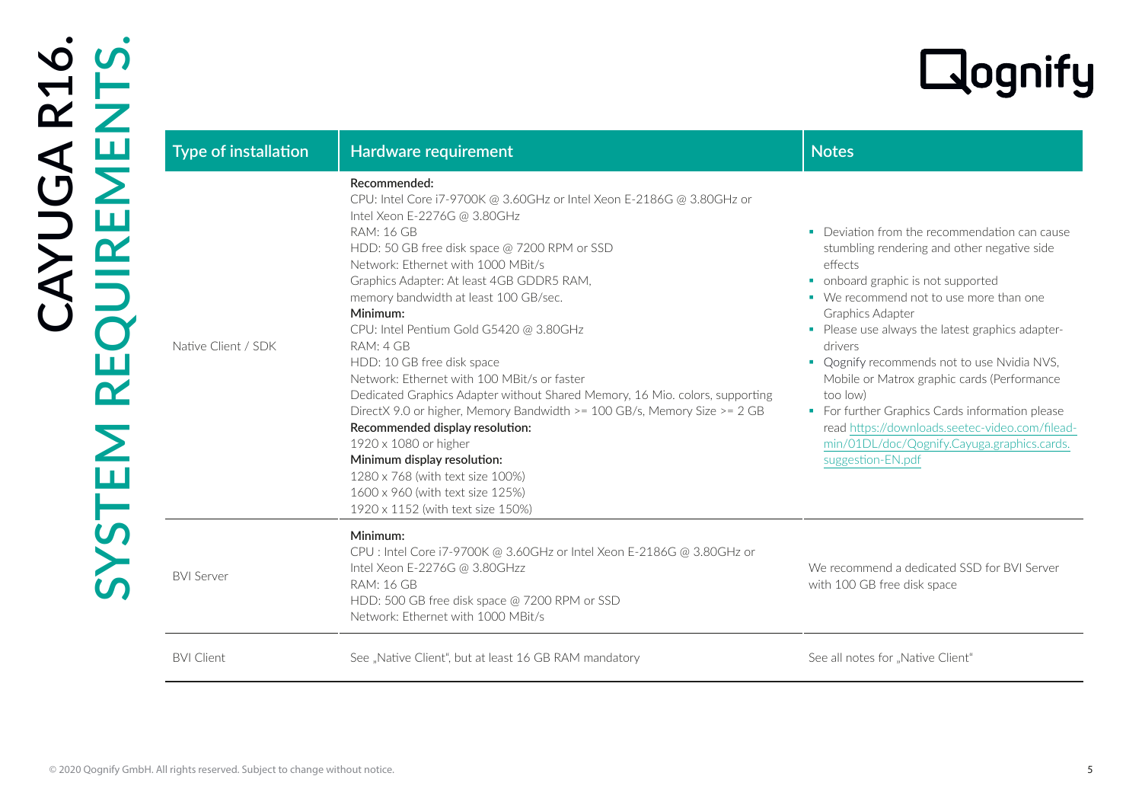| Type of installation | Hardware requirement                                                                                                                                                                                                                                                                                                                                                                                                                                                                                                                                                                                                                                                                                                                                                                                                                        | <b>Notes</b>                                                                                                                                                                                                                                                                                                                                                                                                                                                                                                                                                    |
|----------------------|---------------------------------------------------------------------------------------------------------------------------------------------------------------------------------------------------------------------------------------------------------------------------------------------------------------------------------------------------------------------------------------------------------------------------------------------------------------------------------------------------------------------------------------------------------------------------------------------------------------------------------------------------------------------------------------------------------------------------------------------------------------------------------------------------------------------------------------------|-----------------------------------------------------------------------------------------------------------------------------------------------------------------------------------------------------------------------------------------------------------------------------------------------------------------------------------------------------------------------------------------------------------------------------------------------------------------------------------------------------------------------------------------------------------------|
| Native Client / SDK  | Recommended:<br>CPU: Intel Core i7-9700K @ 3.60GHz or Intel Xeon E-2186G @ 3.80GHz or<br>Intel Xeon E-2276G @ 3.80GHz<br><b>RAM: 16 GB</b><br>HDD: 50 GB free disk space @ 7200 RPM or SSD<br>Network: Ethernet with 1000 MBit/s<br>Graphics Adapter: At least 4GB GDDR5 RAM,<br>memory bandwidth at least 100 GB/sec.<br>Minimum:<br>CPU: Intel Pentium Gold G5420 @ 3.80GHz<br>RAM: 4 GB<br>HDD: 10 GB free disk space<br>Network: Ethernet with 100 MBit/s or faster<br>Dedicated Graphics Adapter without Shared Memory, 16 Mio. colors, supporting<br>DirectX 9.0 or higher, Memory Bandwidth >= 100 GB/s, Memory Size >= 2 GB<br>Recommended display resolution:<br>1920 x 1080 or higher<br>Minimum display resolution:<br>1280 x 768 (with text size 100%)<br>1600 x 960 (with text size 125%)<br>1920 x 1152 (with text size 150%) | • Deviation from the recommendation can cause<br>stumbling rendering and other negative side<br>effects<br>• onboard graphic is not supported<br>• We recommend not to use more than one<br>Graphics Adapter<br>• Please use always the latest graphics adapter-<br>drivers<br>• Qognify recommends not to use Nvidia NVS,<br>Mobile or Matrox graphic cards (Performance<br>too low)<br>• For further Graphics Cards information please<br>read https://downloads.seetec-video.com/filead-<br>min/01DL/doc/Qognify.Cayuga.graphics.cards.<br>suggestion-EN.pdf |
| <b>BVI Server</b>    | Minimum:<br>CPU : Intel Core i7-9700K @ 3.60GHz or Intel Xeon E-2186G @ 3.80GHz or<br>Intel Xeon E-2276G @ 3.80GHzz<br><b>RAM: 16 GB</b><br>HDD: 500 GB free disk space @ 7200 RPM or SSD<br>Network: Ethernet with 1000 MBit/s                                                                                                                                                                                                                                                                                                                                                                                                                                                                                                                                                                                                             | We recommend a dedicated SSD for BVI Server<br>with 100 GB free disk space                                                                                                                                                                                                                                                                                                                                                                                                                                                                                      |
| <b>BVI Client</b>    | See "Native Client", but at least 16 GB RAM mandatory                                                                                                                                                                                                                                                                                                                                                                                                                                                                                                                                                                                                                                                                                                                                                                                       | See all notes for "Native Client"                                                                                                                                                                                                                                                                                                                                                                                                                                                                                                                               |

## **Recommended:**

## Deviation from the recommendation can cause stumbling rendering and other negative side effects

- onboard graphic is not supported
- We recommend not to use more than one Graphics Adapter
- **Please use always the latest graphics adapter**drivers
- Qognify recommends not to use Nvidia NVS, Mobile or Matrox graphic cards (Performance too low)
- **For further Graphics Cards information please** read [https://downloads.seetec-video.com/filead](https://downloads.seetec-video.com/fileadmin/01DL/doc/Qognify.Cayuga.graphics.cards.suggestion-EN.pdf)[min/01DL/doc/Qognify.Cayuga.graphics.cards.](https://downloads.seetec-video.com/fileadmin/01DL/doc/Qognify.Cayuga.graphics.cards.suggestion-EN.pdf) [suggestion-EN.pdf](https://downloads.seetec-video.com/fileadmin/01DL/doc/Qognify.Cayuga.graphics.cards.suggestion-EN.pdf)

| We recommend a dedicated SSD for BVI Server |
|---------------------------------------------|
| with 100 GB free disk space                 |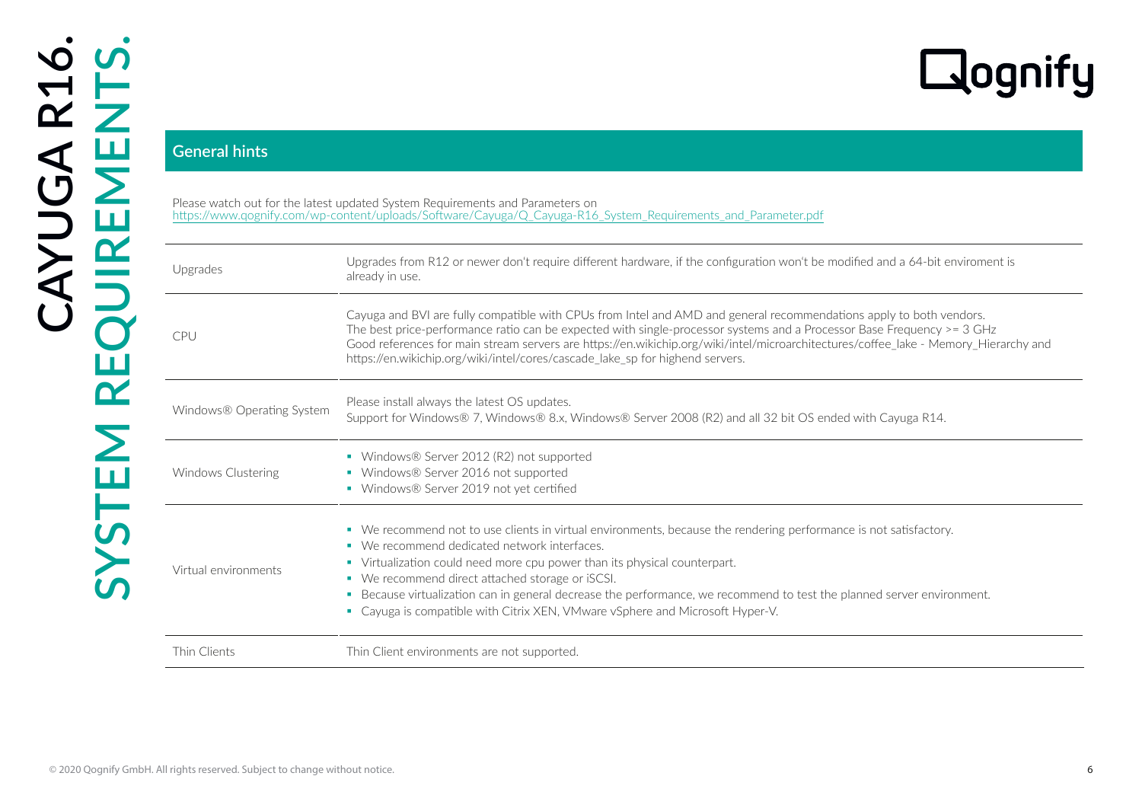# CO2020 CONTENT CONTENT CONTENT CONTENT CONTENT CONTENT CONTENT CONTENT CONTENT CONTENT CONTENT CONTENT CONTENT CONTENT CONTENT CONTENT CONTENT CONTENT CONTENT CONTENT CONTENT CONTENT CONTENT CONTENT CONTENT CONTENT CONTEN Please watch out for the latest updated System Requirements and Parameters on [https://www.qognify.com/wp-content/uploads/Software/Cayuga/Q\\_Cayuga-R16\\_System\\_Requirements\\_and\\_Parameter.pdf](https://www.qognify.com/wp-content/uploads/Software/Cayuga/Q_Cayuga_R16_System_Requirements_and_Parameter.pdf) Upgrades from R12 or newer don't require different hardware, if the configuration won't be modified and a 64-bit enviroment is already in use. CPU Cayuga and BVI are fully compatible with CPUs from Intel and AMD and general recommendations apply to both vendors. The best price-performance ratio can be expected with single-processor systems and a Processor Base Frequency >= 3 GHz Good references for main stream servers are https://en.wikichip.org/wiki/intel/microarchitectures/coffee\_lake - Memory\_Hierarchy and https://en.wikichip.org/wiki/intel/cores/cascade\_lake\_sp for highend servers. Windows $\circledR$  Operating System Please install always the latest OS updates. Support for Windows® 7, Windows® 8.x, Windows® Server 2008 (R2) and all 32 bit OS ended with Cayuga R14. Windows Clustering ■ Windows® Server 2012 (R2) not supported ■ Windows® Server 2016 not supported ■ Windows® Server 2019 not yet certified Virtual environments We recommend not to use clients in virtual environments, because the rendering performance is not satisfactory. ■ We recommend dedicated network interfaces. Virtualization could need more cpu power than its physical counterpart. We recommend direct attached storage or iSCSI. Because virtualization can in general decrease the performance, we recommend to test the planned server environment. Cayuga is compatible with Citrix XEN, VMware vSphere and Microsoft Hyper-V. Thin Clients Thin Client environments are not supported.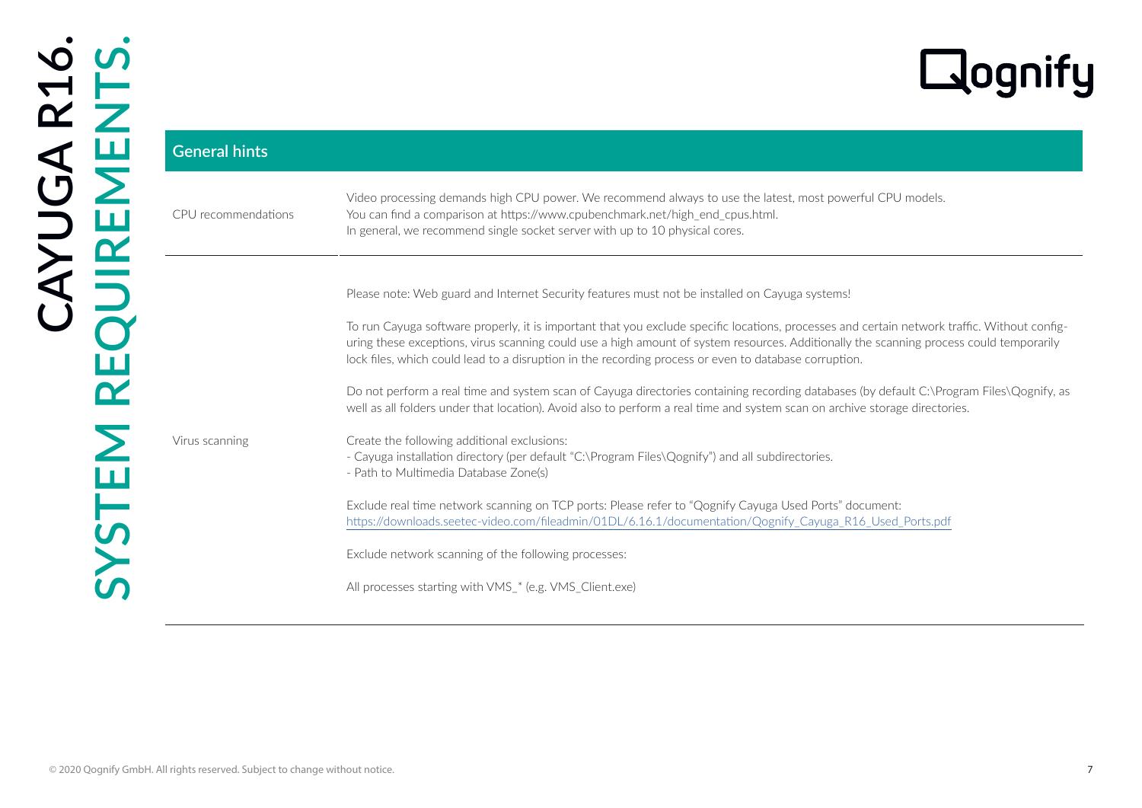| <b>General hints</b> |                                                                                                                                                                                                                                                                                                                                                                                                  |
|----------------------|--------------------------------------------------------------------------------------------------------------------------------------------------------------------------------------------------------------------------------------------------------------------------------------------------------------------------------------------------------------------------------------------------|
| CPU recommendations  | Video processing demands high CPU power. We recommend always to use the latest, most powerful CPU models.<br>You can find a comparison at https://www.cpubenchmark.net/high_end_cpus.html.<br>In general, we recommend single socket server with up to 10 physical cores.                                                                                                                        |
|                      | Please note: Web guard and Internet Security features must not be installed on Cayuga systems!                                                                                                                                                                                                                                                                                                   |
|                      | To run Cayuga software properly, it is important that you exclude specific locations, processes and certain network traffic. Without config-<br>uring these exceptions, virus scanning could use a high amount of system resources. Additionally the scanning process could temporarily<br>lock files, which could lead to a disruption in the recording process or even to database corruption. |
|                      | Do not perform a real time and system scan of Cayuga directories containing recording databases (by default C:\Program Files\Qognify, as<br>well as all folders under that location). Avoid also to perform a real time and system scan on archive storage directories.                                                                                                                          |
| Virus scanning       | Create the following additional exclusions:<br>- Cayuga installation directory (per default "C:\Program Files\Qognify") and all subdirectories.<br>- Path to Multimedia Database Zone(s)                                                                                                                                                                                                         |
|                      | Exclude real time network scanning on TCP ports: Please refer to "Qognify Cayuga Used Ports" document:<br>https://downloads.seetec-video.com/fileadmin/01DL/6.16.1/documentation/Qognify_Cayuga_R16_Used_Ports.pdf                                                                                                                                                                               |
|                      | Exclude network scanning of the following processes:                                                                                                                                                                                                                                                                                                                                             |
|                      | All processes starting with VMS_* (e.g. VMS_Client.exe)                                                                                                                                                                                                                                                                                                                                          |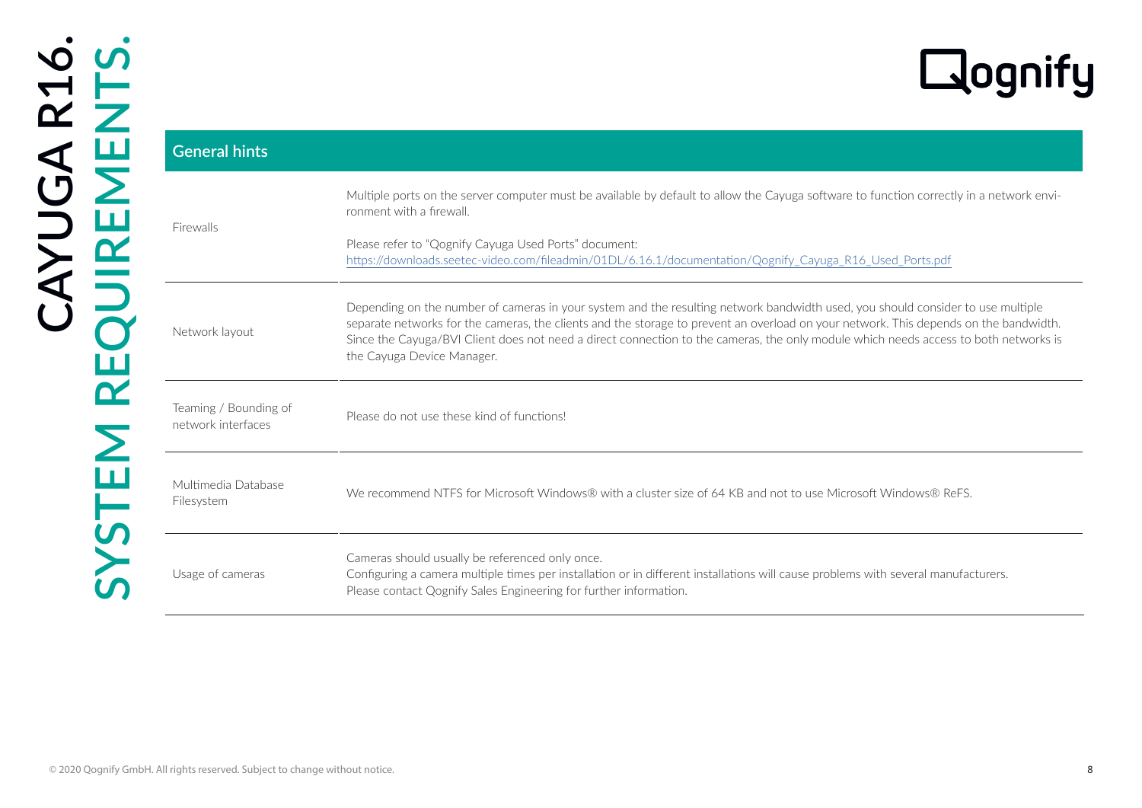| <b>General hints</b>                        |                                                                                                                                                                                                                                                                                                                                                                                                                                                |
|---------------------------------------------|------------------------------------------------------------------------------------------------------------------------------------------------------------------------------------------------------------------------------------------------------------------------------------------------------------------------------------------------------------------------------------------------------------------------------------------------|
|                                             | Multiple ports on the server computer must be available by default to allow the Cayuga software to function correctly in a network envi-<br>ronment with a firewall.                                                                                                                                                                                                                                                                           |
| Firewalls                                   | Please refer to "Qognify Cayuga Used Ports" document:<br>https://downloads.seetec-video.com/fileadmin/01DL/6.16.1/documentation/Qognify_Cayuga_R16_Used_Ports.pdf                                                                                                                                                                                                                                                                              |
| Network layout                              | Depending on the number of cameras in your system and the resulting network bandwidth used, you should consider to use multiple<br>separate networks for the cameras, the clients and the storage to prevent an overload on your network. This depends on the bandwidth.<br>Since the Cayuga/BVI Client does not need a direct connection to the cameras, the only module which needs access to both networks is<br>the Cayuga Device Manager. |
| Teaming / Bounding of<br>network interfaces | Please do not use these kind of functions!                                                                                                                                                                                                                                                                                                                                                                                                     |
| Multimedia Database<br>Filesystem           | We recommend NTFS for Microsoft Windows® with a cluster size of 64 KB and not to use Microsoft Windows® ReFS.                                                                                                                                                                                                                                                                                                                                  |
| Usage of cameras                            | Cameras should usually be referenced only once.<br>Configuring a camera multiple times per installation or in different installations will cause problems with several manufacturers.<br>Please contact Qognify Sales Engineering for further information.                                                                                                                                                                                     |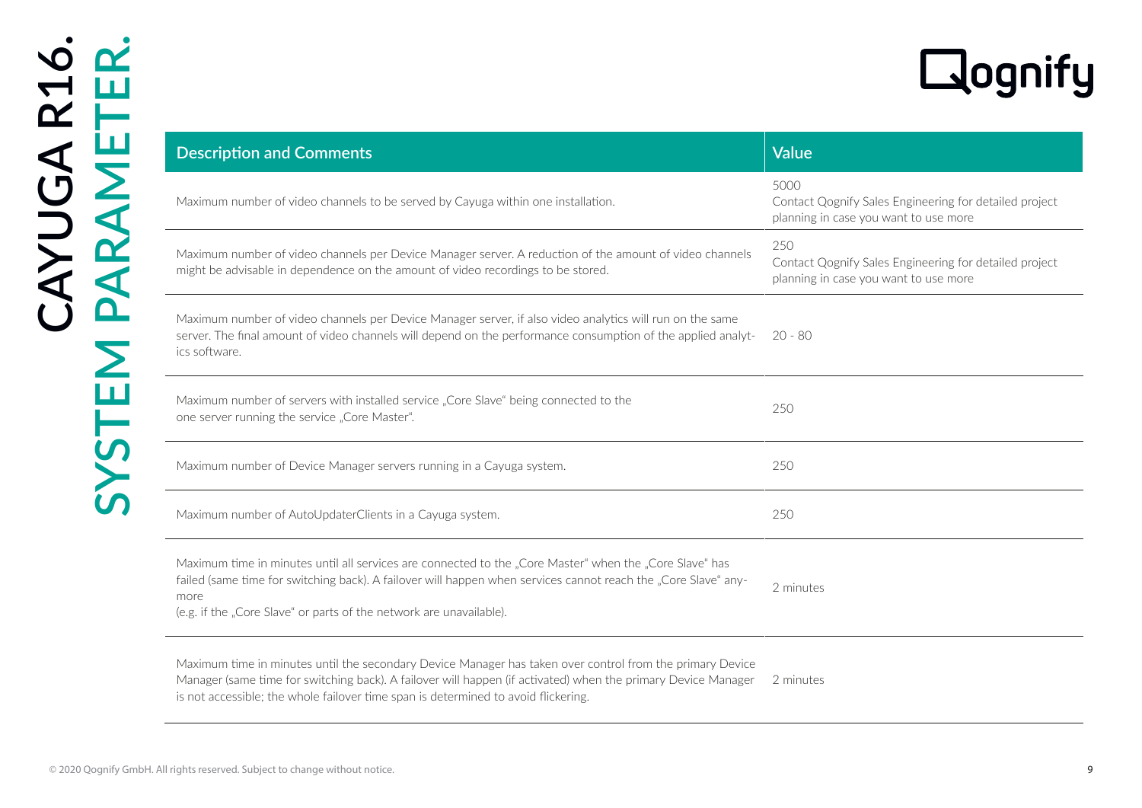|                                                                                                                                                                                                                                                                                                                  | <b>Laoqni</b>                                                                                           |
|------------------------------------------------------------------------------------------------------------------------------------------------------------------------------------------------------------------------------------------------------------------------------------------------------------------|---------------------------------------------------------------------------------------------------------|
| <b>Description and Comments</b>                                                                                                                                                                                                                                                                                  | <b>Value</b>                                                                                            |
| Maximum number of video channels to be served by Cayuga within one installation.                                                                                                                                                                                                                                 | 5000<br>Contact Qognify Sales Engineering for detailed project<br>planning in case you want to use more |
| Maximum number of video channels per Device Manager server. A reduction of the amount of video channels<br>might be advisable in dependence on the amount of video recordings to be stored.                                                                                                                      | 250<br>Contact Qognify Sales Engineering for detailed project<br>planning in case you want to use more  |
| Maximum number of video channels per Device Manager server, if also video analytics will run on the same<br>server. The final amount of video channels will depend on the performance consumption of the applied analyt-<br>ics software.                                                                        | -20 - 80                                                                                                |
| Maximum number of servers with installed service "Core Slave" being connected to the<br>one server running the service "Core Master".                                                                                                                                                                            | 250                                                                                                     |
| Maximum number of Device Manager servers running in a Cayuga system.                                                                                                                                                                                                                                             | 250                                                                                                     |
| Maximum number of AutoUpdaterClients in a Cayuga system.                                                                                                                                                                                                                                                         | 250                                                                                                     |
| Maximum time in minutes until all services are connected to the "Core Master" when the "Core Slave" has<br>failed (same time for switching back). A failover will happen when services cannot reach the "Core Slave" any-<br>more<br>(e.g. if the "Core Slave" or parts of the network are unavailable).         | 2 minutes                                                                                               |
| Maximum time in minutes until the secondary Device Manager has taken over control from the primary Device<br>Manager (same time for switching back). A failover will happen (if activated) when the primary Device Manager<br>is not accessible; the whole failover time span is determined to avoid flickering. | 2 minutes                                                                                               |